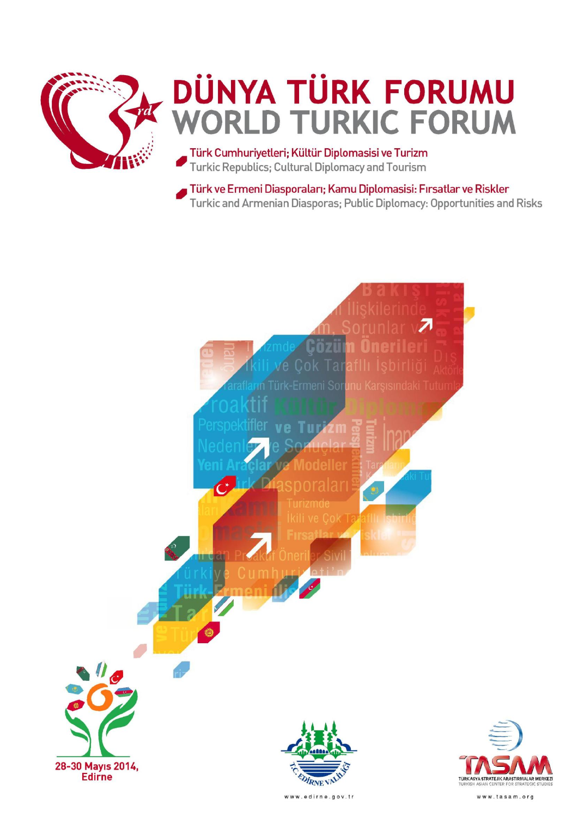

# **DÜNYA TÜRK FORUMU WORLD TURKIC FORUM**

Türk Cumhuriyetleri; Kültür Diplomasisi ve Turizm Turkic Republics: Cultural Diplomacy and Tourism

Türk ve Ermeni Diasporaları; Kamu Diplomasisi: Fırsatlar ve Riskler Turkic and Armenian Diasporas; Public Diplomacy: Opportunities and Risks



www.edirne.gov.tr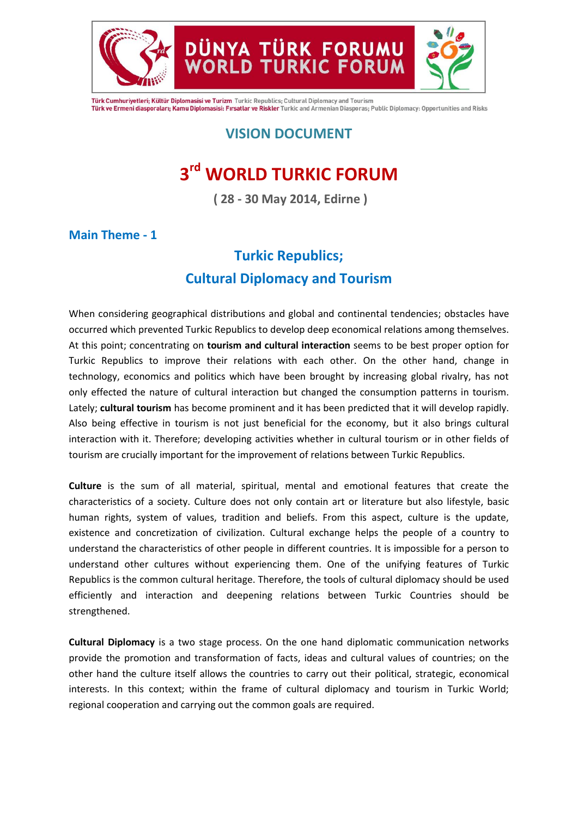

Türk Cumhuriyetleri; Kültür Diplomasisi ve Turizm Turkic Republics; Cultural Diplomacy and Tourism Türk ve Ermeni diasporaları; Kamu Diplomasisi: Fırsatlar ve Riskler Turkic and Armenian Diasporas; Public Diplomacy: Opportunities and Risks

DÜNYA TÜRK FORUMU

## **VISION DOCUMENT**

# **3 rd WORLD TURKIC FORUM**

**( 28 - 30 May 2014, Edirne )**

**Main Theme - 1**

# **Turkic Republics; Cultural Diplomacy and Tourism**

When considering geographical distributions and global and continental tendencies; obstacles have occurred which prevented Turkic Republics to develop deep economical relations among themselves. At this point; concentrating on **tourism and cultural interaction** seems to be best proper option for Turkic Republics to improve their relations with each other. On the other hand, change in technology, economics and politics which have been brought by increasing global rivalry, has not only effected the nature of cultural interaction but changed the consumption patterns in tourism. Lately; **cultural tourism** has become prominent and it has been predicted that it will develop rapidly. Also being effective in tourism is not just beneficial for the economy, but it also brings cultural interaction with it. Therefore; developing activities whether in cultural tourism or in other fields of tourism are crucially important for the improvement of relations between Turkic Republics.

**Culture** is the sum of all material, spiritual, mental and emotional features that create the characteristics of a society. Culture does not only contain art or literature but also lifestyle, basic human rights, system of values, tradition and beliefs. From this aspect, culture is the update, existence and concretization of civilization. Cultural exchange helps the people of a country to understand the characteristics of other people in different countries. It is impossible for a person to understand other cultures without experiencing them. One of the unifying features of Turkic Republics is the common cultural heritage. Therefore, the tools of cultural diplomacy should be used efficiently and interaction and deepening relations between Turkic Countries should be strengthened.

**Cultural Diplomacy** is a two stage process. On the one hand diplomatic communication networks provide the promotion and transformation of facts, ideas and cultural values of countries; on the other hand the culture itself allows the countries to carry out their political, strategic, economical interests. In this context; within the frame of cultural diplomacy and tourism in Turkic World; regional cooperation and carrying out the common goals are required.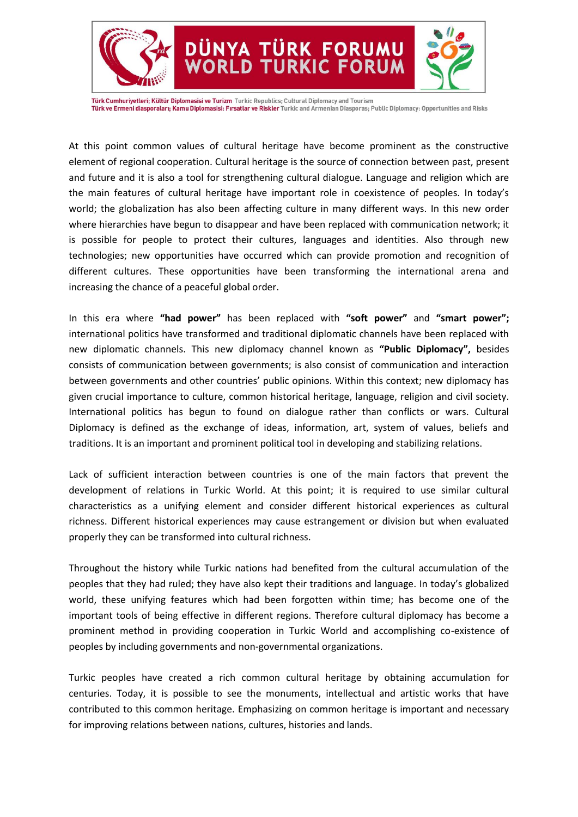

Türk Cumhuriyetleri; Kültür Diplomasisi ve Turizm Turkic Republics; Cultural Diplomacy and Tourism Türk ve Ermeni diasporaları; Kamu Diplomasisi: Fırsatlar ve Riskler Turkic and Armenian Diasporas; Public Diplomacy: Opportunities and Risks

DÜNYA TÜRK FORUMU

**RKIC FORUM** 

At this point common values of cultural heritage have become prominent as the constructive element of regional cooperation. Cultural heritage is the source of connection between past, present and future and it is also a tool for strengthening cultural dialogue. Language and religion which are the main features of cultural heritage have important role in coexistence of peoples. In today's world; the globalization has also been affecting culture in many different ways. In this new order where hierarchies have begun to disappear and have been replaced with communication network; it is possible for people to protect their cultures, languages and identities. Also through new technologies; new opportunities have occurred which can provide promotion and recognition of different cultures. These opportunities have been transforming the international arena and increasing the chance of a peaceful global order.

In this era where **"had power"** has been replaced with **"soft power"** and **"smart power";**  international politics have transformed and traditional diplomatic channels have been replaced with new diplomatic channels. This new diplomacy channel known as **"Public Diplomacy",** besides consists of communication between governments; is also consist of communication and interaction between governments and other countries' public opinions. Within this context; new diplomacy has given crucial importance to culture, common historical heritage, language, religion and civil society. International politics has begun to found on dialogue rather than conflicts or wars. Cultural Diplomacy is defined as the exchange of ideas, information, art, system of values, beliefs and traditions. It is an important and prominent political tool in developing and stabilizing relations.

Lack of sufficient interaction between countries is one of the main factors that prevent the development of relations in Turkic World. At this point; it is required to use similar cultural characteristics as a unifying element and consider different historical experiences as cultural richness. Different historical experiences may cause estrangement or division but when evaluated properly they can be transformed into cultural richness.

Throughout the history while Turkic nations had benefited from the cultural accumulation of the peoples that they had ruled; they have also kept their traditions and language. In today's globalized world, these unifying features which had been forgotten within time; has become one of the important tools of being effective in different regions. Therefore cultural diplomacy has become a prominent method in providing cooperation in Turkic World and accomplishing co-existence of peoples by including governments and non-governmental organizations.

Turkic peoples have created a rich common cultural heritage by obtaining accumulation for centuries. Today, it is possible to see the monuments, intellectual and artistic works that have contributed to this common heritage. Emphasizing on common heritage is important and necessary for improving relations between nations, cultures, histories and lands.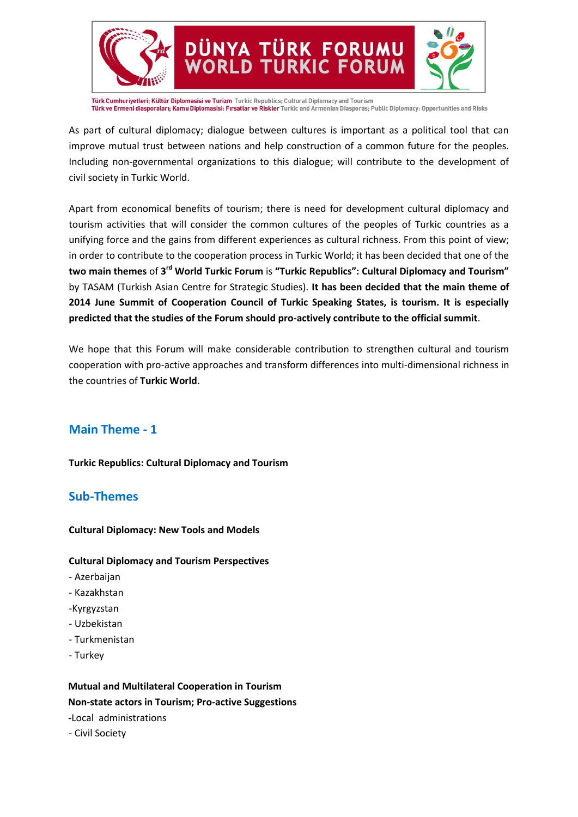

Türk Cumhuriyetleri; Kültür Diplomasisi ve Turizm Turkic Republics; Cultural Diplomacy and Tourism Türk ve Ermeni diasporaları; Kamu Diplomasisi: Fırsatlar ve Riskler Turkic and Armenian Diasporas; Public Diplomacy: Opportunities and Risks

As part of cultural diplomacy; dialogue between cultures is important as a political tool that can improve mutual trust between nations and help construction of a common future for the peoples. Including non-governmental organizations to this dialogue; will contribute to the development of civil society in Turkic World.

Apart from economical benefits of tourism; there is need for development cultural diplomacy and tourism activities that will consider the common cultures of the peoples of Turkic countries as a unifying force and the gains from different experiences as cultural richness. From this point of view; in order to contribute to the cooperation process in Turkic World; it has been decided that one of the **two main themes** of **3 rd World Turkic Forum** is **"Turkic Republics": Cultural Diplomacy and Tourism"** by TASAM (Turkish Asian Centre for Strategic Studies). **It has been decided that the main theme of 2014 June Summit of Cooperation Council of Turkic Speaking States, is tourism. It is especially predicted that the studies of the Forum should pro-actively contribute to the official summit**.

We hope that this Forum will make considerable contribution to strengthen cultural and tourism cooperation with pro-active approaches and transform differences into multi-dimensional richness in the countries of **Turkic World**.

#### **Main Theme - 1**

**Turkic Republics: Cultural Diplomacy and Tourism**

#### **Sub-Themes**

**Cultural Diplomacy: New Tools and Models**

#### **Cultural Diplomacy and Tourism Perspectives**

- Azerbaijan
- Kazakhstan
- -Kyrgyzstan
- Uzbekistan
- Turkmenistan
- Turkey

**Mutual and Multilateral Cooperation in Tourism Non-state actors in Tourism; Pro-active Suggestions -**Local administrations

- Civil Society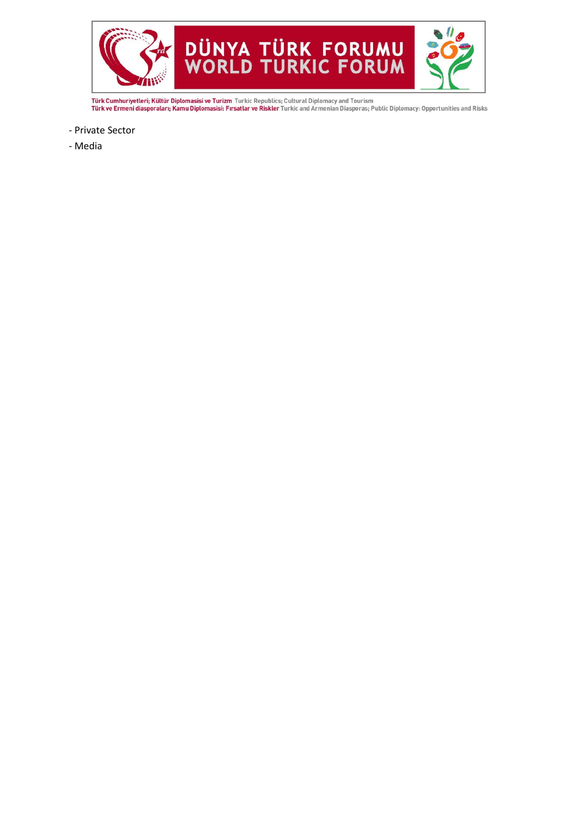

**Türk Cumhuriyetleri; Kültür Diplomasisi ve Turizm** Turkic Republics; Cultural Diplomacy and Tourism<br>**Türk ve Ermeni diasporaları; Kamu Diplomasisi: Fırsatlar ve Riskler** Turkic and Armenian Diasporas; Public Diplomacy: Op

- Private Sector
- Media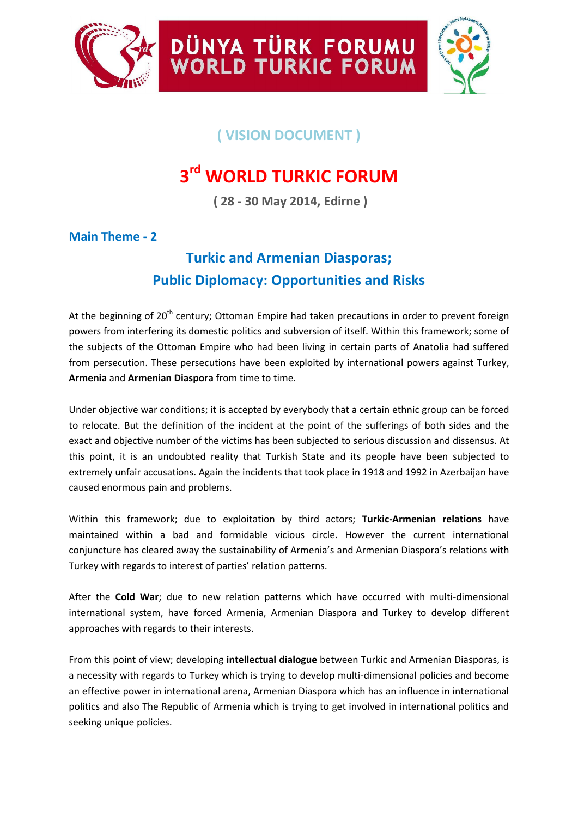



# **( VISION DOCUMENT )**

DÜNYA TÜRK FORUMU<br>WORLD TURKIC FORUM

# **3 rd WORLD TURKIC FORUM**

**( 28 - 30 May 2014, Edirne )**

### **Main Theme - 2**

# **Turkic and Armenian Diasporas; Public Diplomacy: Opportunities and Risks**

At the beginning of 20<sup>th</sup> century; Ottoman Empire had taken precautions in order to prevent foreign powers from interfering its domestic politics and subversion of itself. Within this framework; some of the subjects of the Ottoman Empire who had been living in certain parts of Anatolia had suffered from persecution. These persecutions have been exploited by international powers against Turkey, **Armenia** and **Armenian Diaspora** from time to time.

Under objective war conditions; it is accepted by everybody that a certain ethnic group can be forced to relocate. But the definition of the incident at the point of the sufferings of both sides and the exact and objective number of the victims has been subjected to serious discussion and dissensus. At this point, it is an undoubted reality that Turkish State and its people have been subjected to extremely unfair accusations. Again the incidents that took place in 1918 and 1992 in Azerbaijan have caused enormous pain and problems.

Within this framework; due to exploitation by third actors; **Turkic-Armenian relations** have maintained within a bad and formidable vicious circle. However the current international conjuncture has cleared away the sustainability of Armenia's and Armenian Diaspora's relations with Turkey with regards to interest of parties' relation patterns.

After the **Cold War**; due to new relation patterns which have occurred with multi-dimensional international system, have forced Armenia, Armenian Diaspora and Turkey to develop different approaches with regards to their interests.

From this point of view; developing **intellectual dialogue** between Turkic and Armenian Diasporas, is a necessity with regards to Turkey which is trying to develop multi-dimensional policies and become an effective power in international arena, Armenian Diaspora which has an influence in international politics and also The Republic of Armenia which is trying to get involved in international politics and seeking unique policies.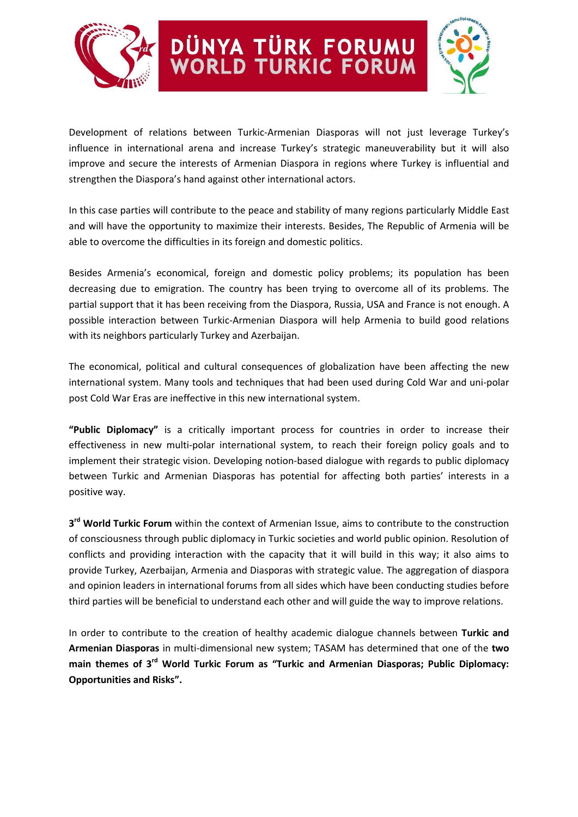



Development of relations between Turkic-Armenian Diasporas will not just leverage Turkey's influence in international arena and increase Turkey's strategic maneuverability but it will also improve and secure the interests of Armenian Diaspora in regions where Turkey is influential and strengthen the Diaspora's hand against other international actors.

DÜNYA TÜRK FORUMU<br>WORLD TURKIC FORUM

In this case parties will contribute to the peace and stability of many regions particularly Middle East and will have the opportunity to maximize their interests. Besides, The Republic of Armenia will be able to overcome the difficulties in its foreign and domestic politics.

Besides Armenia's economical, foreign and domestic policy problems; its population has been decreasing due to emigration. The country has been trying to overcome all of its problems. The partial support that it has been receiving from the Diaspora, Russia, USA and France is not enough. A possible interaction between Turkic-Armenian Diaspora will help Armenia to build good relations with its neighbors particularly Turkey and Azerbaijan.

The economical, political and cultural consequences of globalization have been affecting the new international system. Many tools and techniques that had been used during Cold War and uni-polar post Cold War Eras are ineffective in this new international system.

**"Public Diplomacy"** is a critically important process for countries in order to increase their effectiveness in new multi-polar international system, to reach their foreign policy goals and to implement their strategic vision. Developing notion-based dialogue with regards to public diplomacy between Turkic and Armenian Diasporas has potential for affecting both parties' interests in a positive way.

**3 rd World Turkic Forum** within the context of Armenian Issue, aims to contribute to the construction of consciousness through public diplomacy in Turkic societies and world public opinion. Resolution of conflicts and providing interaction with the capacity that it will build in this way; it also aims to provide Turkey, Azerbaijan, Armenia and Diasporas with strategic value. The aggregation of diaspora and opinion leaders in international forums from all sides which have been conducting studies before third parties will be beneficial to understand each other and will guide the way to improve relations.

In order to contribute to the creation of healthy academic dialogue channels between **Turkic and Armenian Diasporas** in multi-dimensional new system; TASAM has determined that one of the **two main themes of 3rd World Turkic Forum as "Turkic and Armenian Diasporas; Public Diplomacy: Opportunities and Risks".**